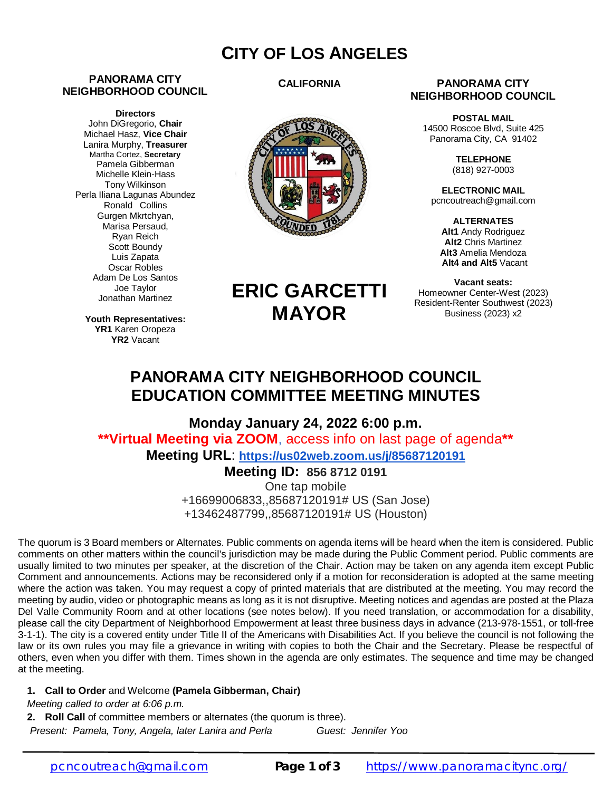## **CITY OF LOS ANGELES**

#### **PANORAMA CITY NEIGHBORHOOD COUNCIL**

**Directors** John DiGregorio, **Chair** Michael Hasz, **Vice Chair** Lanira Murphy, **Treasurer** Martha Cortez, **Secretary** Pamela Gibberman Michelle Klein-Hass Tony Wilkinson Perla Iliana Lagunas Abundez Ronald Collins Gurgen Mkrtchyan, Marisa Persaud, Ryan Reich Scott Boundy Luis Zapata Oscar Robles Adam De Los Santos Joe Taylor Jonathan Martinez

> **Youth Representatives: YR1** Karen Oropeza **YR2** Vacant

#### **CALIFORNIA**



#### **PANORAMA CITY NEIGHBORHOOD COUNCIL**

**POSTAL MAIL** 14500 Roscoe Blvd, Suite 425 Panorama City, CA 91402

> **TELEPHONE** (818) 927-0003

**ELECTRONIC MAIL** [pcncoutreach@gmail.com](mailto:pcncoutreach@gmail.com)

**ALTERNATES Alt1** Andy Rodriguez **Alt2** Chris Martinez **Alt3** Amelia Mendoza **Alt4 and Alt5** Vacant

**Vacant seats:** Homeowner Center-West (2023) Resident-Renter Southwest (2023) Business (2023) x2

# **ERIC GARCETTI MAYOR**

### **PANORAMA CITY NEIGHBORHOOD COUNCIL EDUCATION COMMITTEE MEETING MINUTES**

**Monday January 24, 2022 6:00 p.m. \*\*Virtual Meeting via ZOOM**, access info on last page of agenda**\*\* Meeting URL**: **<https://us02web.zoom.us/j/85687120191>**

### **Meeting ID: 856 8712 0191**

One tap mobile +16699006833,,85687120191# US (San Jose) +13462487799,,85687120191# US (Houston)

The quorum is 3 Board members or Alternates. Public comments on agenda items will be heard when the item is considered. Public comments on other matters within the council's jurisdiction may be made during the Public Comment period. Public comments are usually limited to two minutes per speaker, at the discretion of the Chair. Action may be taken on any agenda item except Public Comment and announcements. Actions may be reconsidered only if a motion for reconsideration is adopted at the same meeting where the action was taken. You may request a copy of printed materials that are distributed at the meeting. You may record the meeting by audio, video or photographic means as long as it is not disruptive. Meeting notices and agendas are posted at the Plaza Del Valle Community Room and at other locations (see notes below). If you need translation, or accommodation for a disability, please call the city Department of Neighborhood Empowerment at least three business days in advance (213-978-1551, or toll-free 3-1-1). The city is a covered entity under Title II of the Americans with Disabilities Act. If you believe the council is not following the law or its own rules you may file a grievance in writing with copies to both the Chair and the Secretary. Please be respectful of others, even when you differ with them. Times shown in the agenda are only estimates. The sequence and time may be changed at the meeting.

#### **1. Call to Order** and Welcome **(Pamela Gibberman, Chair)**

*Meeting called to order at 6:06 p.m.*

**2. Roll Call** of committee members or alternates (the quorum is three).

*Present: Pamela, Tony, Angela, later Lanira and Perla Guest: Jennifer Yoo*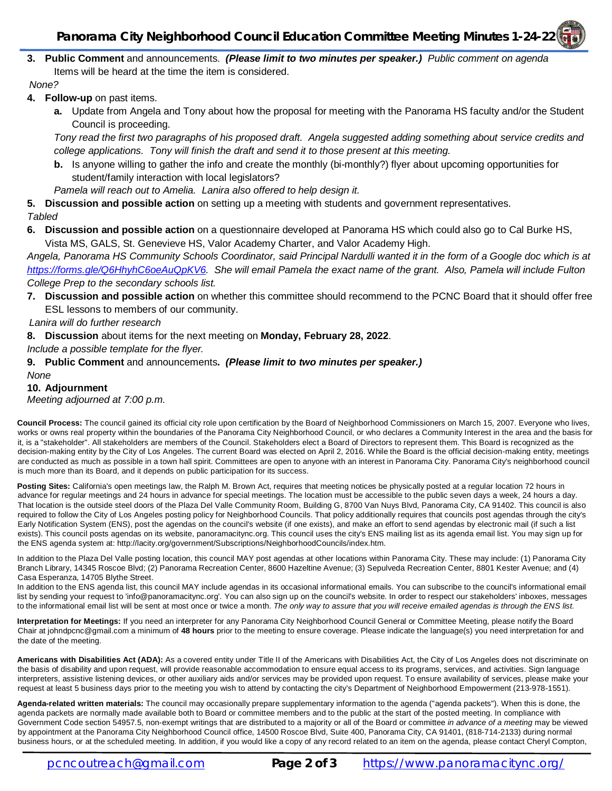**3. Public Comment** and announcements.*(Please limit to two minutes per speaker.) Public comment on agenda* Items will be heard at the time the item is considered.

*None?*

- **4. Follow-up** on past items.
	- **a.** Update from Angela and Tony about how the proposal for meeting with the Panorama HS faculty and/or the Student Council is proceeding.

*Tony read the first two paragraphs of his proposed draft. Angela suggested adding something about service credits and college applications. Tony will finish the draft and send it to those present at this meeting.*

**b.** Is anyone willing to gather the info and create the monthly (bi-monthly?) flyer about upcoming opportunities for student/family interaction with local legislators?

*Pamela will reach out to Amelia. Lanira also offered to help design it.*

**5. Discussion and possible action** on setting up a meeting with students and government representatives.

*Tabled*

**6. Discussion and possible action** on a questionnaire developed at Panorama HS which could also go to Cal Burke HS, Vista MS, GALS, St. Genevieve HS, Valor Academy Charter, and Valor Academy High.

*Angela, Panorama HS Community Schools Coordinator, said Principal Nardulli wanted it in the form of a Google doc which is at <https://forms.gle/Q6HhyhC6oeAuQpKV6.> She will email Pamela the exact name of the grant. Also, Pamela will include Fulton College Prep to the secondary schools list.*

**7. Discussion and possible action** on whether this committee should recommend to the PCNC Board that it should offer free ESL lessons to members of our community.

*Lanira will do further research*

**8. Discussion** about items for the next meeting on **Monday, February 28, 2022**.

*Include a possible template for the flyer.*

#### **9. Public Comment** and announcements**.** *(Please limit to two minutes per speaker.) None*

#### **10. Adjournment**

*Meeting adjourned at 7:00 p.m.*

**Council Process:** The council gained its official city role upon certification by the Board of Neighborhood Commissioners on March 15, 2007. Everyone who lives, works or owns real property within the boundaries of the Panorama City Neighborhood Council, or who declares a Community Interest in the area and the basis for it, is a "stakeholder". All stakeholders are members of the Council. Stakeholders elect a Board of Directors to represent them. This Board is recognized as the decision-making entity by the City of Los Angeles. The current Board was elected on April 2, 2016. While the Board is the official decision-making entity, meetings are conducted as much as possible in a town hall spirit. Committees are open to anyone with an interest in Panorama City. Panorama City's neighborhood council is much more than its Board, and it depends on public participation for its success.

Posting Sites: California's open meetings law, the Ralph M. Brown Act, requires that meeting notices be physically posted at a regular location 72 hours in advance for regular meetings and 24 hours in advance for special meetings. The location must be accessible to the public seven days a week, 24 hours a day. That location is the outside steel doors of the Plaza Del Valle Community Room, Building G, 8700 Van Nuys Blvd, Panorama City, CA 91402. This council is also required to follow the City of Los Angeles posting policy for Neighborhood Councils. That policy additionally requires that councils post agendas through the city's Early Notification System (ENS), post the agendas on the council's website (if one exists), and make an effort to send agendas by electronic mail (if such a list exists). This council posts agendas on its website, panoramacitync.org. This council uses the city's ENS mailing list as its agenda email list. You may sign up for the ENS agenda system at:<http://lacity.org/government/Subscriptions/NeighborhoodCouncils/index.htm.>

In addition to the Plaza Del Valle posting location, this council MAY post agendas at other locations within Panorama City. These may include: (1) Panorama City Branch Library, 14345 Roscoe Blvd; (2) Panorama Recreation Center, 8600 Hazeltine Avenue; (3) Sepulveda Recreation Center, 8801 Kester Avenue; and (4) Casa Esperanza, 14705 Blythe Street.

In addition to the ENS agenda list, this council MAY include agendas in its occasional informational emails. You can subscribe to the council's informational email list by sending your request to ['info@panoramacitync.org'.](mailto:) You can also sign up on the council's website. In order to respect our stakeholders' inboxes, messages to the informational email list will be sent at most once or twice a month. *The only way to assure that you will receive emailed agendas is through the ENS list.* 

**Interpretation for Meetings:** If you need an interpreter for any Panorama City Neighborhood Council General or Committee Meeting, please notify the Board Chair at [johndpcnc@gmail.com](mailto:johndpcnc@gmail.com) a minimum of **48 hours** prior to the meeting to ensure coverage. Please indicate the language(s) you need interpretation for and the date of the meeting.

**Americans with Disabilities Act (ADA):** As a covered entity under Title II of the Americans with Disabilities Act, the City of Los Angeles does not discriminate on the basis of disability and upon request, will provide reasonable accommodation to ensure equal access to its programs, services, and activities. Sign language interpreters, assistive listening devices, or other auxiliary aids and/or services may be provided upon request. To ensure availability of services, please make your request at least 5 business days prior to the meeting you wish to attend by contacting the city's Department of Neighborhood Empowerment (213-978-1551).

**Agenda-related written materials:** The council may occasionally prepare supplementary information to the agenda ("agenda packets"). When this is done, the agenda packets are normally made available both to Board or committee members and to the public at the start of the posted meeting. In compliance with Government Code section 54957.5, non-exempt writings that are distributed to a majority or all of the Board or committee *in advance of a meeting* may be viewed by appointment at the Panorama City Neighborhood Council office, 14500 Roscoe Blvd, Suite 400, Panorama City, CA 91401, (818-714-2133) during normal business hours, or at the scheduled meeting. In addition, if you would like a copy of any record related to an item on the agenda, please contact Cheryl Compton,